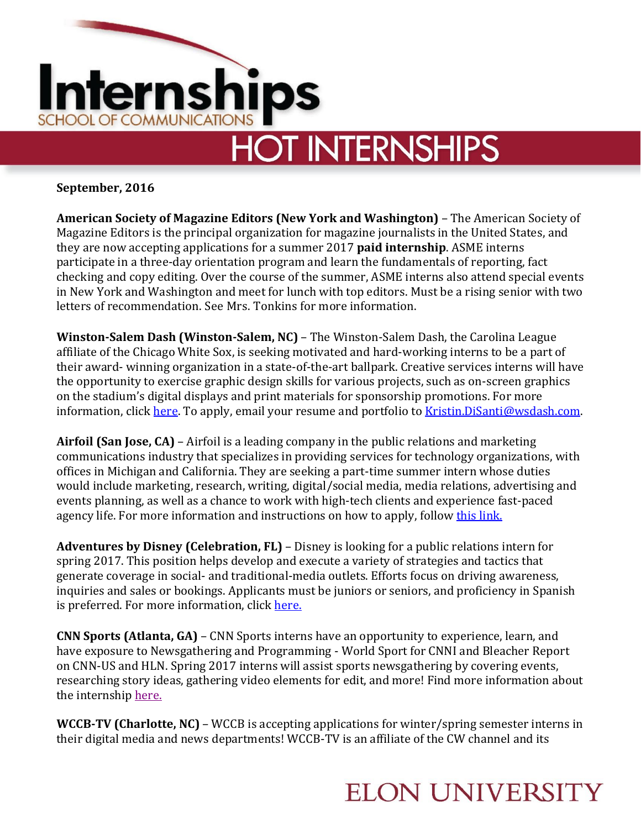

**September, 2016**

**American Society of Magazine Editors (New York and Washington)** – The American Society of Magazine Editors is the principal organization for magazine journalists in the United States, and they are now accepting applications for a summer 2017 **paid internship**. ASME interns participate in a three-day orientation program and learn the fundamentals of reporting, fact checking and copy editing. Over the course of the summer, ASME interns also attend special events in New York and Washington and meet for lunch with top editors. Must be a rising senior with two letters of recommendation. See Mrs. Tonkins for more information.

**Winston-Salem Dash (Winston-Salem, NC)** – The Winston-Salem Dash, the Carolina League affiliate of the Chicago White Sox, is seeking motivated and hard-working interns to be a part of their award- winning organization in a state-of-the-art ballpark. Creative services interns will have the opportunity to exercise graphic design skills for various projects, such as on-screen graphics on the stadium's digital displays and print materials for sponsorship promotions. For more information, click [here.](http://www.milb.com/documents/2/2/4/66670224/Creative_Services_Internship_qe3rjdjw.pdf) To apply, email your resume and portfolio to Kristin. DiSanti@wsdash.com.

**Airfoil (San Jose, CA)** – Airfoil is a leading company in the public relations and marketing communications industry that specializes in providing services for technology organizations, with offices in Michigan and California. They are seeking a part-time summer intern whose duties would include marketing, research, writing, digital/social media, media relations, advertising and events planning, as well as a chance to work with high-tech clients and experience fast-paced agency life. For more information and instructions on how to apply, follow [this link.](http://airfoilgroup.com/about/careers/)

**Adventures by Disney (Celebration, FL)** – Disney is looking for a public relations intern for spring 2017. This position helps develop and execute a variety of strategies and tactics that generate coverage in social- and traditional-media outlets. Efforts focus on driving awareness, inquiries and sales or bookings. Applicants must be juniors or seniors, and proficiency in Spanish is preferred. For more information, click [here.](https://jobs.disneycareers.com/job/-/-/391/2940723)

**CNN Sports (Atlanta, GA)** – CNN Sports interns have an opportunity to experience, learn, and have exposure to Newsgathering and Programming - World Sport for CNNI and Bleacher Report on CNN-US and HLN. Spring 2017 interns will assist sports newsgathering by covering events, researching story ideas, gathering video elements for edit, and more! Find more information about the internship [here.](https://careers.timewarner.com/TGWebHost/jobdetails.aspx?partnerid=391&siteid=36&jobId=765217)

**WCCB-TV (Charlotte, NC)** – WCCB is accepting applications for winter/spring semester interns in their digital media and news departments! WCCB-TV is an affiliate of the CW channel and its

## **ELON UNIVERSITY**